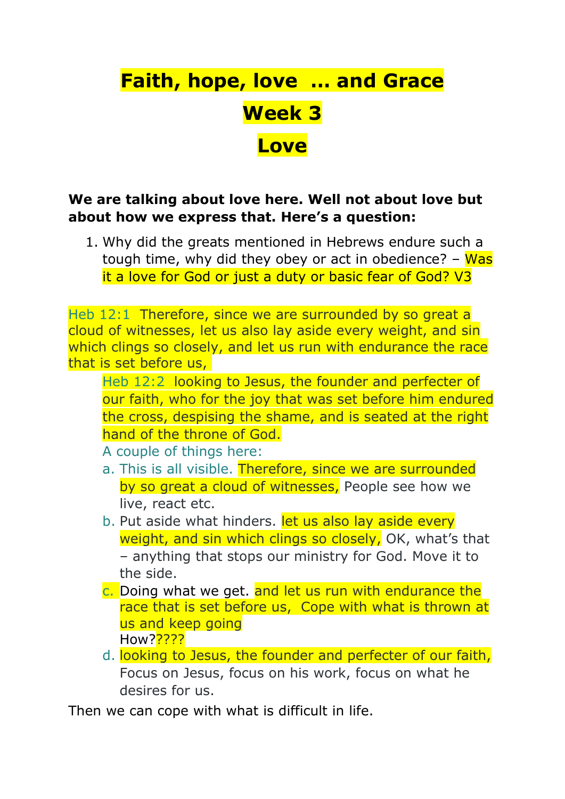# **Faith, hope, love … and Grace Week 3 Love**

## **We are talking about love here. Well not about love but about how we express that. Here's a question:**

1. Why did the greats mentioned in Hebrews endure such a tough time, why did they obey or act in obedience?  $-$  Was it a love for God or just a duty or basic fear of God? V3

Heb 12:1 Therefore, since we are surrounded by so great a cloud of witnesses, let us also lay aside every weight, and sin which clings so closely, and let us run with endurance the race that is set before us,

Heb 12:2 looking to Jesus, the founder and perfecter of our faith, who for the joy that was set before him endured the cross, despising the shame, and is seated at the right hand of the throne of God.

A couple of things here:

- a. This is all visible. Therefore, since we are surrounded by so great a cloud of witnesses, People see how we live, react etc.
- b. Put aside what hinders. let us also lay aside every weight, and sin which clings so closely, OK, what's that – anything that stops our ministry for God. Move it to the side.
- c. Doing what we get. and let us run with endurance the race that is set before us, Cope with what is thrown at us and keep going How?<mark>????</mark>
- d. looking to Jesus, the founder and perfecter of our faith, Focus on Jesus, focus on his work, focus on what he desires for us.

Then we can cope with what is difficult in life.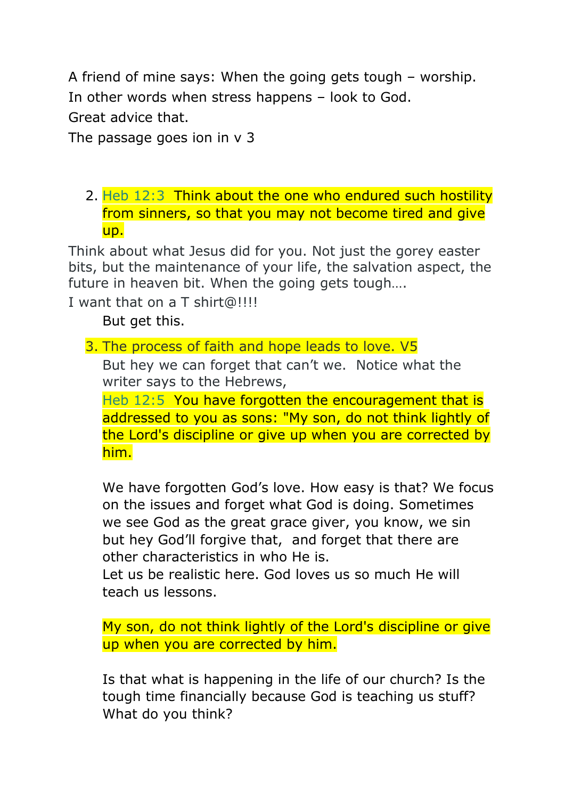A friend of mine says: When the going gets tough – worship. In other words when stress happens – look to God. Great advice that.

The passage goes ion in v 3

2. Heb 12:3 Think about the one who endured such hostility from sinners, so that you may not become tired and give up.

Think about what Jesus did for you. Not just the gorey easter bits, but the maintenance of your life, the salvation aspect, the future in heaven bit. When the going gets tough….

I want that on a T shirt@!!!!

But get this.

3. The process of faith and hope leads to love. V5

But hey we can forget that can't we. Notice what the writer says to the Hebrews,

Heb 12:5 You have forgotten the encouragement that is addressed to you as sons: "My son, do not think lightly of the Lord's discipline or give up when you are corrected by him.

We have forgotten God's love. How easy is that? We focus on the issues and forget what God is doing. Sometimes we see God as the great grace giver, you know, we sin but hey God'll forgive that, and forget that there are other characteristics in who He is.

Let us be realistic here. God loves us so much He will teach us lessons.

My son, do not think lightly of the Lord's discipline or give up when you are corrected by him.

Is that what is happening in the life of our church? Is the tough time financially because God is teaching us stuff? What do you think?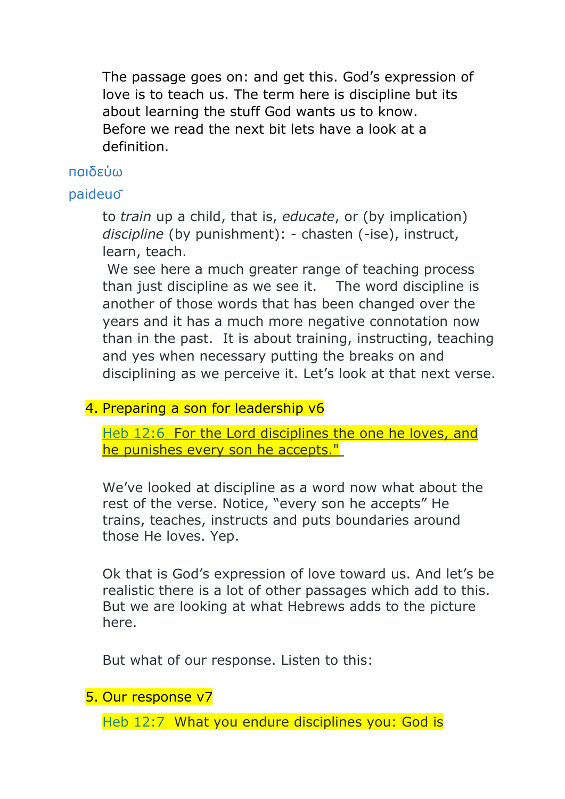The passage goes on: and get this. God's expression of love is to teach us. The term here is discipline but its about learning the stuff God wants us to know. Before we read the next bit lets have a look at a definition.

### παιδεύω

## paideuō

to *train* up a child, that is, *educate*, or (by implication) *discipline* (by punishment): - chasten (-ise), instruct, learn, teach.

We see here a much greater range of teaching process than just discipline as we see it. The word discipline is another of those words that has been changed over the years and it has a much more negative connotation now than in the past. It is about training, instructing, teaching and yes when necessary putting the breaks on and disciplining as we perceive it. Let's look at that next verse.

## 4. Preparing a son for leadership v6

Heb 12:6 For the Lord disciplines the one he loves, and he punishes every son he accepts."

We've looked at discipline as a word now what about the rest of the verse. Notice, "every son he accepts" He trains, teaches, instructs and puts boundaries around those He loves. Yep.

Ok that is God's expression of love toward us. And let's be realistic there is a lot of other passages which add to this. But we are looking at what Hebrews adds to the picture here.

But what of our response. Listen to this:

#### 5. Our response v7

Heb 12:7 What you endure disciplines you: God is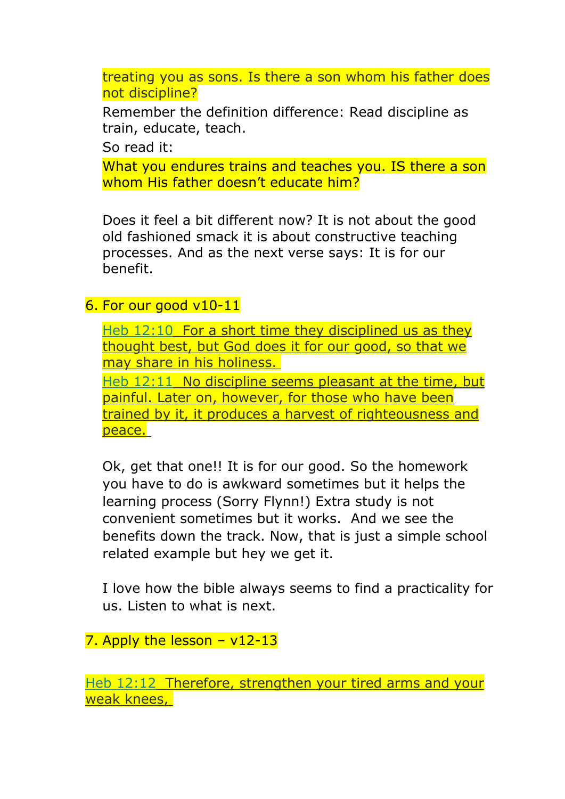treating you as sons. Is there a son whom his father does not discipline?

Remember the definition difference: Read discipline as train, educate, teach.

So read it:

What you endures trains and teaches you. IS there a son whom His father doesn't educate him?

Does it feel a bit different now? It is not about the good old fashioned smack it is about constructive teaching processes. And as the next verse says: It is for our benefit.

#### 6. For our good v10-11

Heb 12:10 For a short time they disciplined us as they thought best, but God does it for our good, so that we may share in his holiness.

Heb 12:11 No discipline seems pleasant at the time, but painful. Later on, however, for those who have been trained by it, it produces a harvest of righteousness and peace.

Ok, get that one!! It is for our good. So the homework you have to do is awkward sometimes but it helps the learning process (Sorry Flynn!) Extra study is not convenient sometimes but it works. And we see the benefits down the track. Now, that is just a simple school related example but hey we get it.

I love how the bible always seems to find a practicality for us. Listen to what is next.

7. Apply the lesson  $- v12-13$ 

Heb 12:12 Therefore, strengthen your tired arms and your weak knees,